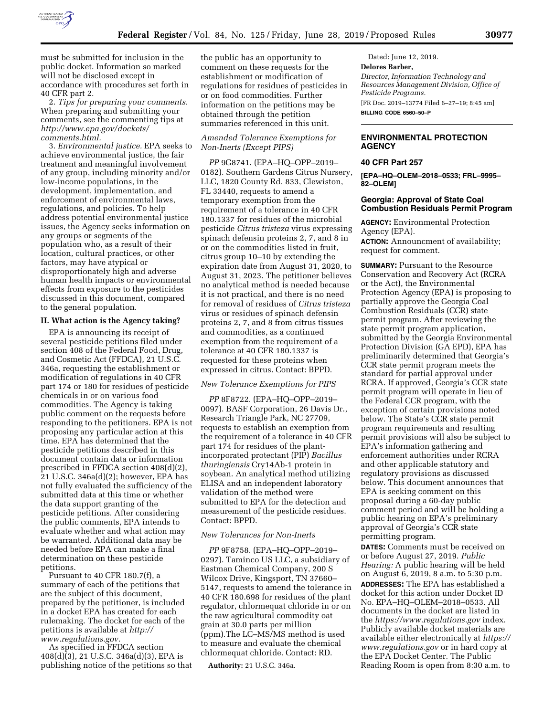

must be submitted for inclusion in the public docket. Information so marked will not be disclosed except in accordance with procedures set forth in 40 CFR part 2.

2. *Tips for preparing your comments.*  When preparing and submitting your comments, see the commenting tips at *[http://www.epa.gov/dockets/](http://www.epa.gov/dockets/comments.html)  [comments.html.](http://www.epa.gov/dockets/comments.html)* 

3. *Environmental justice.* EPA seeks to achieve environmental justice, the fair treatment and meaningful involvement of any group, including minority and/or low-income populations, in the development, implementation, and enforcement of environmental laws, regulations, and policies. To help address potential environmental justice issues, the Agency seeks information on any groups or segments of the population who, as a result of their location, cultural practices, or other factors, may have atypical or disproportionately high and adverse human health impacts or environmental effects from exposure to the pesticides discussed in this document, compared to the general population.

#### **II. What action is the Agency taking?**

EPA is announcing its receipt of several pesticide petitions filed under section 408 of the Federal Food, Drug, and Cosmetic Act (FFDCA), 21 U.S.C. 346a, requesting the establishment or modification of regulations in 40 CFR part 174 or 180 for residues of pesticide chemicals in or on various food commodities. The Agency is taking public comment on the requests before responding to the petitioners. EPA is not proposing any particular action at this time. EPA has determined that the pesticide petitions described in this document contain data or information prescribed in FFDCA section 408(d)(2), 21 U.S.C. 346a(d)(2); however, EPA has not fully evaluated the sufficiency of the submitted data at this time or whether the data support granting of the pesticide petitions. After considering the public comments, EPA intends to evaluate whether and what action may be warranted. Additional data may be needed before EPA can make a final determination on these pesticide petitions.

Pursuant to 40 CFR 180.7(f), a summary of each of the petitions that are the subject of this document, prepared by the petitioner, is included in a docket EPA has created for each rulemaking. The docket for each of the petitions is available at *[http://](http://www.regulations.gov) [www.regulations.gov.](http://www.regulations.gov)* 

As specified in FFDCA section  $408(d)(3)$ , 21 U.S.C. 346a(d)(3), EPA is publishing notice of the petitions so that the public has an opportunity to comment on these requests for the establishment or modification of regulations for residues of pesticides in or on food commodities. Further information on the petitions may be obtained through the petition summaries referenced in this unit.

# *Amended Tolerance Exemptions for Non-Inerts (Except PIPS)*

*PP* 9G8741. (EPA–HQ–OPP–2019– 0182). Southern Gardens Citrus Nursery, LLC, 1820 County Rd. 833, Clewiston, FL 33440, requests to amend a temporary exemption from the requirement of a tolerance in 40 CFR 180.1337 for residues of the microbial pesticide *Citrus tristeza* virus expressing spinach defensin proteins 2, 7, and 8 in or on the commodities listed in fruit, citrus group 10–10 by extending the expiration date from August 31, 2020, to August 31, 2023. The petitioner believes no analytical method is needed because it is not practical, and there is no need for removal of residues of *Citrus tristeza*  virus or residues of spinach defensin proteins 2, 7, and 8 from citrus tissues and commodities, as a continued exemption from the requirement of a tolerance at 40 CFR 180.1337 is requested for these proteins when expressed in citrus. Contact: BPPD.

#### *New Tolerance Exemptions for PIPS*

*PP* 8F8722. (EPA–HQ–OPP–2019– 0097). BASF Corporation, 26 Davis Dr., Research Triangle Park, NC 27709, requests to establish an exemption from the requirement of a tolerance in 40 CFR part 174 for residues of the plantincorporated protectant (PIP) *Bacillus thuringiensis* Cry14Ab-1 protein in soybean. An analytical method utilizing ELISA and an independent laboratory validation of the method were submitted to EPA for the detection and measurement of the pesticide residues. Contact: BPPD.

### *New Tolerances for Non-Inerts*

*PP* 9F8758. (EPA–HQ–OPP–2019– 0297). Taminco US LLC, a subsidiary of Eastman Chemical Company, 200 S Wilcox Drive, Kingsport, TN 37660– 5147, requests to amend the tolerance in 40 CFR 180.698 for residues of the plant regulator, chlormequat chloride in or on the raw agricultural commodity oat grain at 30.0 parts per million (ppm).The LC–MS/MS method is used to measure and evaluate the chemical chlormequat chloride. Contact: RD.

**Authority:** 21 U.S.C. 346a.

Dated: June 12, 2019. **Delores Barber,**  *Director, Information Technology and Resources Management Division, Office of Pesticide Programs.*  [FR Doc. 2019–13774 Filed 6–27–19; 8:45 am] **BILLING CODE 6560–50–P** 

## **ENVIRONMENTAL PROTECTION AGENCY**

## **40 CFR Part 257**

**[EPA–HQ–OLEM–2018–0533; FRL–9995– 82–OLEM]** 

### **Georgia: Approval of State Coal Combustion Residuals Permit Program**

**AGENCY:** Environmental Protection Agency (EPA). **ACTION:** Announcment of availability; request for comment.

**SUMMARY: Pursuant to the Resource** Conservation and Recovery Act (RCRA or the Act), the Environmental Protection Agency (EPA) is proposing to partially approve the Georgia Coal Combustion Residuals (CCR) state permit program. After reviewing the state permit program application, submitted by the Georgia Environmental Protection Division (GA EPD), EPA has preliminarily determined that Georgia's CCR state permit program meets the standard for partial approval under RCRA. If approved, Georgia's CCR state permit program will operate in lieu of the Federal CCR program, with the exception of certain provisions noted below. The State's CCR state permit program requirements and resulting permit provisions will also be subject to EPA's information gathering and enforcement authorities under RCRA and other applicable statutory and regulatory provisions as discussed below. This document announces that EPA is seeking comment on this proposal during a 60-day public comment period and will be holding a public hearing on EPA's preliminary approval of Georgia's CCR state permitting program. **DATES:** Comments must be received on

or before August 27, 2019. *Public Hearing:* A public hearing will be held on August 6, 2019, 8 a.m. to 5:30 p.m. **ADDRESSES:** The EPA has established a docket for this action under Docket ID No. EPA–HQ–OLEM–2018–0533. All documents in the docket are listed in the *<https://www.regulations.gov>*index. Publicly available docket materials are available either electronically at *[https://](https://www.regulations.gov) [www.regulations.gov](https://www.regulations.gov)* or in hard copy at the EPA Docket Center. The Public Reading Room is open from 8:30 a.m. to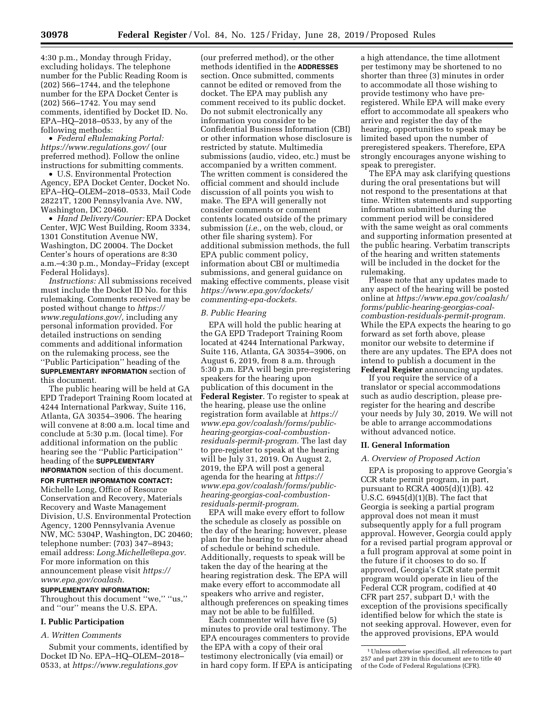4:30 p.m., Monday through Friday, excluding holidays. The telephone number for the Public Reading Room is (202) 566–1744, and the telephone number for the EPA Docket Center is (202) 566–1742. You may send comments, identified by Docket ID. No. EPA–HQ–2018–0533, by any of the following methods:

• *Federal eRulemaking Portal: <https://www.regulations.gov/>*(our preferred method). Follow the online instructions for submitting comments.

• U.S. Environmental Protection Agency, EPA Docket Center, Docket No. EPA–HQ–OLEM–2018–0533, Mail Code 28221T, 1200 Pennsylvania Ave. NW, Washington, DC 20460.

• *Hand Delivery/Courier:* EPA Docket Center, WJC West Building, Room 3334, 1301 Constitution Avenue NW, Washington, DC 20004. The Docket Center's hours of operations are 8:30 a.m.–4:30 p.m., Monday–Friday (except Federal Holidays).

*Instructions:* All submissions received must include the Docket ID No. for this rulemaking. Comments received may be posted without change to *[https://](https://www.regulations.gov/) [www.regulations.gov/,](https://www.regulations.gov/)* including any personal information provided. For detailed instructions on sending comments and additional information on the rulemaking process, see the ''Public Participation'' heading of the **SUPPLEMENTARY INFORMATION** section of this document.

The public hearing will be held at GA EPD Tradeport Training Room located at 4244 International Parkway, Suite 116, Atlanta, GA 30354–3906. The hearing will convene at 8:00 a.m. local time and conclude at 5:30 p.m. (local time). For additional information on the public hearing see the ''Public Participation'' heading of the **SUPPLEMENTARY INFORMATION** section of this document.

**FOR FURTHER INFORMATION CONTACT:** 

Michelle Long, Office of Resource Conservation and Recovery, Materials Recovery and Waste Management Division, U.S. Environmental Protection Agency, 1200 Pennsylvania Avenue NW, MC: 5304P, Washington, DC 20460; telephone number: (703) 347–8943; email address: *[Long.Michelle@epa.gov.](mailto:Long.Michelle@epa.gov)*  For more information on this announcement please visit *[https://](https://www.epa.gov/coalash) [www.epa.gov/coalash.](https://www.epa.gov/coalash)* 

**SUPPLEMENTARY INFORMATION:** 

Throughout this document ''we,'' ''us,'' and ''our'' means the U.S. EPA.

### **I. Public Participation**

#### *A. Written Comments*

Submit your comments, identified by Docket ID No. EPA–HQ–OLEM–2018– 0533, at *<https://www.regulations.gov>* 

(our preferred method), or the other methods identified in the **ADDRESSES** section. Once submitted, comments cannot be edited or removed from the docket. The EPA may publish any comment received to its public docket. Do not submit electronically any information you consider to be Confidential Business Information (CBI) or other information whose disclosure is restricted by statute. Multimedia submissions (audio, video, etc.) must be accompanied by a written comment. The written comment is considered the official comment and should include discussion of all points you wish to make. The EPA will generally not consider comments or comment contents located outside of the primary submission (*i.e.,* on the web, cloud, or other file sharing system). For additional submission methods, the full EPA public comment policy, information about CBI or multimedia submissions, and general guidance on making effective comments, please visit *[https://www.epa.gov/dockets/](https://www.epa.gov/dockets/commenting-epa-dockets)  [commenting-epa-dockets.](https://www.epa.gov/dockets/commenting-epa-dockets)* 

#### *B. Public Hearing*

EPA will hold the public hearing at the GA EPD Tradeport Training Room located at 4244 International Parkway, Suite 116, Atlanta, GA 30354–3906, on August 6, 2019, from 8 a.m. through 5:30 p.m. EPA will begin pre-registering speakers for the hearing upon publication of this document in the **Federal Register**. To register to speak at the hearing, please use the online registration form available at *[https://](https://www.epa.gov/coalash/forms/public-hearing-georgias-coal-combustion-residuals-permit-program) [www.epa.gov/coalash/forms/public](https://www.epa.gov/coalash/forms/public-hearing-georgias-coal-combustion-residuals-permit-program)[hearing-georgias-coal-combustion](https://www.epa.gov/coalash/forms/public-hearing-georgias-coal-combustion-residuals-permit-program)[residuals-permit-program.](https://www.epa.gov/coalash/forms/public-hearing-georgias-coal-combustion-residuals-permit-program)* The last day to pre-register to speak at the hearing will be July 31, 2019. On August 2, 2019, the EPA will post a general agenda for the hearing at *[https://](https://www.epa.gov/coalash/forms/public-hearing-georgias-coal-combustion-residuals-permit-program) [www.epa.gov/coalash/forms/public](https://www.epa.gov/coalash/forms/public-hearing-georgias-coal-combustion-residuals-permit-program)hearing-georgias-coal-combustion[residuals-permit-program.](https://www.epa.gov/coalash/forms/public-hearing-georgias-coal-combustion-residuals-permit-program)* 

EPA will make every effort to follow the schedule as closely as possible on the day of the hearing; however, please plan for the hearing to run either ahead of schedule or behind schedule. Additionally, requests to speak will be taken the day of the hearing at the hearing registration desk. The EPA will make every effort to accommodate all speakers who arrive and register, although preferences on speaking times may not be able to be fulfilled.

Each commenter will have five (5) minutes to provide oral testimony. The EPA encourages commenters to provide the EPA with a copy of their oral testimony electronically (via email) or in hard copy form. If EPA is anticipating a high attendance, the time allotment per testimony may be shortened to no shorter than three (3) minutes in order to accommodate all those wishing to provide testimony who have preregistered. While EPA will make every effort to accommodate all speakers who arrive and register the day of the hearing, opportunities to speak may be limited based upon the number of preregistered speakers. Therefore, EPA strongly encourages anyone wishing to speak to preregister.

The EPA may ask clarifying questions during the oral presentations but will not respond to the presentations at that time. Written statements and supporting information submitted during the comment period will be considered with the same weight as oral comments and supporting information presented at the public hearing. Verbatim transcripts of the hearing and written statements will be included in the docket for the rulemaking.

Please note that any updates made to any aspect of the hearing will be posted online at *[https://www.epa.gov/coalash/](https://www.epa.gov/coalash/forms/public-hearing-georgias-coal-combustion-residuals-permit-program)  [forms/public-hearing-georgias-coal](https://www.epa.gov/coalash/forms/public-hearing-georgias-coal-combustion-residuals-permit-program)[combustion-residuals-permit-program.](https://www.epa.gov/coalash/forms/public-hearing-georgias-coal-combustion-residuals-permit-program)*  While the EPA expects the hearing to go forward as set forth above, please monitor our website to determine if there are any updates. The EPA does not intend to publish a document in the **Federal Register** announcing updates.

If you require the service of a translator or special accommodations such as audio description, please preregister for the hearing and describe your needs by July 30, 2019. We will not be able to arrange accommodations without advanced notice.

### **II. General Information**

### *A. Overview of Proposed Action*

EPA is proposing to approve Georgia's CCR state permit program, in part, pursuant to RCRA  $4005(d)(1)(B)$ . 42 U.S.C. 6945(d)(1)(B). The fact that Georgia is seeking a partial program approval does not mean it must subsequently apply for a full program approval. However, Georgia could apply for a revised partial program approval or a full program approval at some point in the future if it chooses to do so. If approved, Georgia's CCR state permit program would operate in lieu of the Federal CCR program, codified at 40 CFR part 257, subpart  $D<sup>1</sup>$  with the exception of the provisions specifically identified below for which the state is not seeking approval. However, even for the approved provisions, EPA would

<sup>1</sup>Unless otherwise specified, all references to part 257 and part 239 in this document are to title 40 of the Code of Federal Regulations (CFR).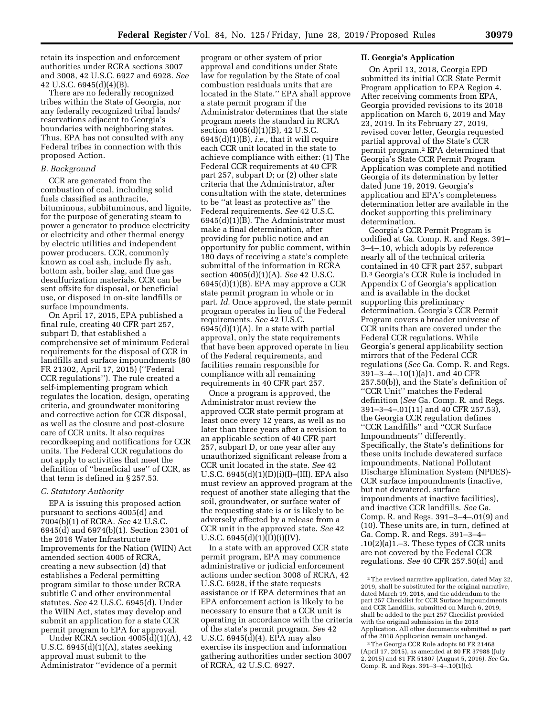retain its inspection and enforcement authorities under RCRA sections 3007 and 3008, 42 U.S.C. 6927 and 6928. *See*  42 U.S.C. 6945(d)(4)(B).

There are no federally recognized tribes within the State of Georgia, nor any federally recognized tribal lands/ reservations adjacent to Georgia's boundaries with neighboring states. Thus, EPA has not consulted with any Federal tribes in connection with this proposed Action.

### *B. Background*

CCR are generated from the combustion of coal, including solid fuels classified as anthracite, bituminous, subbituminous, and lignite, for the purpose of generating steam to power a generator to produce electricity or electricity and other thermal energy by electric utilities and independent power producers. CCR, commonly known as coal ash, include fly ash, bottom ash, boiler slag, and flue gas desulfurization materials. CCR can be sent offsite for disposal, or beneficial use, or disposed in on-site landfills or surface impoundments.

On April 17, 2015, EPA published a final rule, creating 40 CFR part 257, subpart D, that established a comprehensive set of minimum Federal requirements for the disposal of CCR in landfills and surface impoundments (80 FR 21302, April 17, 2015) (''Federal CCR regulations''). The rule created a self-implementing program which regulates the location, design, operating criteria, and groundwater monitoring and corrective action for CCR disposal, as well as the closure and post-closure care of CCR units. It also requires recordkeeping and notifications for CCR units. The Federal CCR regulations do not apply to activities that meet the definition of ''beneficial use'' of CCR, as that term is defined in § 257.53.

#### *C. Statutory Authority*

EPA is issuing this proposed action pursuant to sections 4005(d) and 7004(b)(1) of RCRA. *See* 42 U.S.C. 6945(d) and 6974(b)(1). Section 2301 of the 2016 Water Infrastructure Improvements for the Nation (WIIN) Act amended section 4005 of RCRA, creating a new subsection (d) that establishes a Federal permitting program similar to those under RCRA subtitle C and other environmental statutes. *See* 42 U.S.C. 6945(d). Under the WIIN Act, states may develop and submit an application for a state CCR permit program to EPA for approval.

Under RCRA section  $4005(d)(1)(A)$ , 42 U.S.C.  $6945(d)(1)(A)$ , states seeking approval must submit to the Administrator ''evidence of a permit

program or other system of prior approval and conditions under State law for regulation by the State of coal combustion residuals units that are located in the State.'' EPA shall approve a state permit program if the Administrator determines that the state program meets the standard in RCRA section 4005(d)(1)(B), 42 U.S.C. 6945(d)(1)(B), *i.e.,* that it will require each CCR unit located in the state to achieve compliance with either: (1) The Federal CCR requirements at 40 CFR part 257, subpart D; or (2) other state criteria that the Administrator, after consultation with the state, determines to be ''at least as protective as'' the Federal requirements. *See* 42 U.S.C. 6945(d)(1)(B). The Administrator must make a final determination, after providing for public notice and an opportunity for public comment, within 180 days of receiving a state's complete submittal of the information in RCRA section 4005(d)(1)(A). *See* 42 U.S.C. 6945(d)(1)(B). EPA may approve a CCR state permit program in whole or in part. *Id.* Once approved, the state permit program operates in lieu of the Federal requirements. *See* 42 U.S.C.  $6945(d)(1)(A)$ . In a state with partial approval, only the state requirements that have been approved operate in lieu of the Federal requirements, and facilities remain responsible for compliance with all remaining requirements in 40 CFR part 257.

Once a program is approved, the Administrator must review the approved CCR state permit program at least once every 12 years, as well as no later than three years after a revision to an applicable section of 40 CFR part 257, subpart D, or one year after any unauthorized significant release from a CCR unit located in the state. *See* 42 U.S.C.  $6945(d)(1)(D)(i)(I)–(III)$ . EPA also must review an approved program at the request of another state alleging that the soil, groundwater, or surface water of the requesting state is or is likely to be adversely affected by a release from a CCR unit in the approved state. *See* 42 U.S.C.  $6945(d)(1)(D)(i)(IV)$ .

In a state with an approved CCR state permit program, EPA may commence administrative or judicial enforcement actions under section 3008 of RCRA, 42 U.S.C. 6928, if the state requests assistance or if EPA determines that an EPA enforcement action is likely to be necessary to ensure that a CCR unit is operating in accordance with the criteria of the state's permit program. *See* 42 U.S.C. 6945(d)(4). EPA may also exercise its inspection and information gathering authorities under section 3007 of RCRA, 42 U.S.C. 6927.

## **II. Georgia's Application**

On April 13, 2018, Georgia EPD submitted its initial CCR State Permit Program application to EPA Region 4. After receiving comments from EPA, Georgia provided revisions to its 2018 application on March 6, 2019 and May 23, 2019. In its February 27, 2019, revised cover letter, Georgia requested partial approval of the State's CCR permit program.2 EPA determined that Georgia's State CCR Permit Program Application was complete and notified Georgia of its determination by letter dated June 19, 2019. Georgia's application and EPA's completeness determination letter are available in the docket supporting this preliminary determination.

Georgia's CCR Permit Program is codified at Ga. Comp. R. and Regs. 391– 3–4–.10, which adopts by reference nearly all of the technical criteria contained in 40 CFR part 257, subpart D.3 Georgia's CCR Rule is included in Appendix C of Georgia's application and is available in the docket supporting this preliminary determination. Georgia's CCR Permit Program covers a broader universe of CCR units than are covered under the Federal CCR regulations. While Georgia's general applicability section mirrors that of the Federal CCR regulations (*See* Ga. Comp. R. and Regs. 391–3–4–.10(1)(a)1. and 40 CFR 257.50(b)), and the State's definition of ''CCR Unit'' matches the Federal definition (*See* Ga. Comp. R. and Regs. 391–3–4–.01(11) and 40 CFR 257.53), the Georgia CCR regulation defines ''CCR Landfills'' and ''CCR Surface Impoundments'' differently. Specifically, the State's definitions for these units include dewatered surface impoundments, National Pollutant Discharge Elimination System (NPDES)- CCR surface impoundments (inactive, but not dewatered, surface impoundments at inactive facilities), and inactive CCR landfills. *See* Ga. Comp. R. and Regs. 391–3–4–.01(9) and (10). These units are, in turn, defined at Ga. Comp. R. and Regs. 391–3–4– .10(2)(a)1.–3. These types of CCR units are not covered by the Federal CCR regulations. *See* 40 CFR 257.50(d) and

3The Georgia CCR Rule adopts 80 FR 21468 (April 17, 2015), as amended at 80 FR 37988 (July 2, 2015) and 81 FR 51807 (August 5, 2016). *See* Ga. Comp. R. and Regs. 391–3–4–.10(1)(c).

<sup>2</sup>The revised narrative application, dated May 22, 2019, shall be substituted for the original narrative, dated March 19, 2018, and the addendum to the part 257 Checklist for CCR Surface Impoundments and CCR Landfills, submitted on March 6, 2019, shall be added to the part 257 Checklist provided with the original submission in the 2018 Application. All other documents submitted as part of the 2018 Application remain unchanged.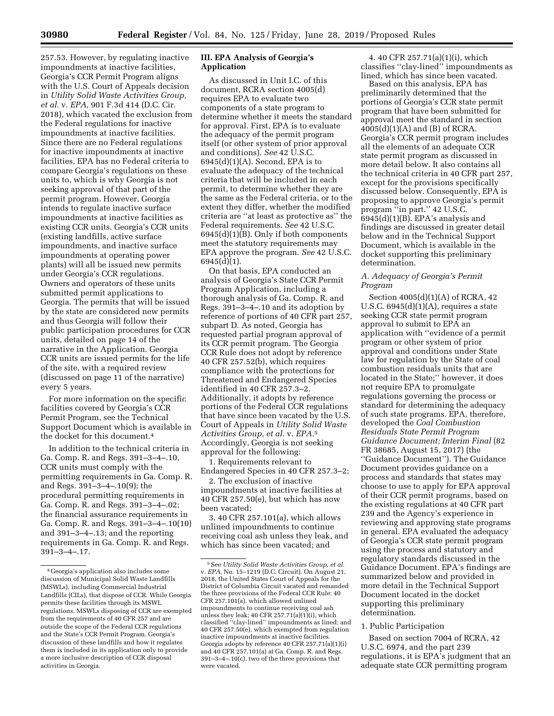257.53. However, by regulating inactive impoundments at inactive facilities, Georgia's CCR Permit Program aligns with the U.S. Court of Appeals decision in *Utility Solid Waste Activities Group, et al.* v. *EPA,* 901 F.3d 414 (D.C. Cir. 2018), which vacated the exclusion from the Federal regulations for inactive impoundments at inactive facilities. Since there are no Federal regulations for inactive impoundments at inactive facilities, EPA has no Federal criteria to compare Georgia's regulations on these units to, which is why Georgia is not seeking approval of that part of the permit program. However, Georgia intends to regulate inactive surface impoundments at inactive facilities as existing CCR units. Georgia's CCR units (existing landfills, active surface impoundments, and inactive surface impoundments at operating power plants) will all be issued new permits under Georgia's CCR regulations. Owners and operators of these units submitted permit applications to Georgia. The permits that will be issued by the state are considered new permits and thus Georgia will follow their public participation procedures for CCR units, detailed on page 14 of the narrative in the Application. Georgia CCR units are issued permits for the life of the site, with a required review (discussed on page 11 of the narrative) every 5 years.

For more information on the specific facilities covered by Georgia's CCR Permit Program, see the Technical Support Document which is available in the docket for this document.4

In addition to the technical criteria in Ga. Comp. R. and Regs. 391–3–4–.10, CCR units must comply with the permitting requirements in Ga. Comp. R. and Regs. 391–3–4–.10(9); the procedural permitting requirements in Ga. Comp. R. and Regs. 391–3–4–.02; the financial assurance requirements in Ga. Comp. R. and Regs. 391–3–4–.10(10) and 391–3–4–.13; and the reporting requirements in Ga. Comp. R. and Regs. 391–3–4–.17.

# **III. EPA Analysis of Georgia's Application**

As discussed in Unit I.C. of this document, RCRA section 4005(d) requires EPA to evaluate two components of a state program to determine whether it meets the standard for approval. First, EPA is to evaluate the adequacy of the permit program itself (or other system of prior approval and conditions). *See* 42 U.S.C. 6945(d)(1)(A). Second, EPA is to evaluate the adequacy of the technical criteria that will be included in each permit, to determine whether they are the same as the Federal criteria, or to the extent they differ, whether the modified criteria are ''at least as protective as'' the Federal requirements. *See* 42 U.S.C. 6945(d)(1)(B). Only if both components meet the statutory requirements may EPA approve the program. *See* 42 U.S.C. 6945(d)(1).

On that basis, EPA conducted an analysis of Georgia's State CCR Permit Program Application, including a thorough analysis of Ga. Comp. R. and Regs. 391–3–4–.10 and its adoption by reference of portions of 40 CFR part 257, subpart D. As noted, Georgia has requested partial program approval of its CCR permit program. The Georgia CCR Rule does not adopt by reference 40 CFR 257.52(b), which requires compliance with the protections for Threatened and Endangered Species identified in 40 CFR 257.3–2. Additionally, it adopts by reference portions of the Federal CCR regulations that have since been vacated by the U.S. Court of Appeals in *Utility Solid Waste Activities Group, et al.* v. *EPA.*5 Accordingly, Georgia is not seeking approval for the following:

1. Requirements relevant to Endangered Species in 40 CFR 257.3–2;

2. The exclusion of inactive impoundments at inactive facilities at 40 CFR 257.50(e), but which has now been vacated;

3. 40 CFR 257.101(a), which allows unlined impoundments to continue receiving coal ash unless they leak, and which has since been vacated; and

4. 40 CFR 257.71(a)(1)(i), which classifies ''clay-lined'' impoundments as lined, which has since been vacated.

Based on this analysis, EPA has preliminarily determined that the portions of Georgia's CCR state permit program that have been submitted for approval meet the standard in section 4005(d)(1)(A) and (B) of RCRA. Georgia's CCR permit program includes all the elements of an adequate CCR state permit program as discussed in more detail below. It also contains all the technical criteria in 40 CFR part 257, except for the provisions specifically discussed below. Consequently, EPA is proposing to approve Georgia's permit program ''in part.'' 42 U.S.C. 6945(d)(1)(B). EPA's analysis and findings are discussed in greater detail below and in the Technical Support Document, which is available in the docket supporting this preliminary determination.

# *A. Adequacy of Georgia's Permit Program*

Section 4005(d)(1)(A) of RCRA, 42 U.S.C.  $6945(d)(1)(A)$ , requires a state seeking CCR state permit program approval to submit to EPA an application with ''evidence of a permit program or other system of prior approval and conditions under State law for regulation by the State of coal combustion residuals units that are located in the State;'' however, it does not require EPA to promulgate regulations governing the process or standard for determining the adequacy of such state programs. EPA, therefore, developed the *Coal Combustion Residuals State Permit Program Guidance Document; Interim Final* (82 FR 38685, August 15, 2017) (the ''Guidance Document''). The Guidance Document provides guidance on a process and standards that states may choose to use to apply for EPA approval of their CCR permit programs, based on the existing regulations at 40 CFR part 239 and the Agency's experience in reviewing and approving state programs in general. EPA evaluated the adequacy of Georgia's CCR state permit program using the process and statutory and regulatory standards discussed in the Guidance Document. EPA's findings are summarized below and provided in more detail in the Technical Support Document located in the docket supporting this preliminary determination.

#### 1. Public Participation

Based on section 7004 of RCRA, 42 U.S.C. 6974, and the part 239 regulations, it is EPA's judgment that an adequate state CCR permitting program

<sup>4</sup> Georgia's application also includes some discussion of Municipal Solid Waste Landfills (MSWLs), including Commercial Industrial Landfills (CILs), that dispose of CCR. While Georgia permits these facilities through its MSWL regulations, MSWLs disposing of CCR are exempted from the requirements of 40 CFR 257 and are outside the scope of the Federal CCR regulations and the State's CCR Permit Program. Georgia's discussion of these landfills and how it regulates them is included in its application only to provide a more inclusive description of CCR disposal activities in Georgia.

<sup>5</sup>See *Utility Solid Waste Activities Group, et al.*  v. *EPA,* No. 15–1219 (D.C. Circuit). On August 21, 2018, the United States Court of Appeals for the District of Columbia Circuit vacated and remanded the three provisions of the Federal CCR Rule: 40 CFR 257.101(a), which allowed unlined impoundments to continue receiving coal ash unless they leak; 40 CFR  $257.71(a)(1)(i)$ , which classified ''clay-lined'' impoundments as lined; and 40 CFR 257.50(e), which exempted from regulation inactive impoundments at inactive facilities. Georgia adopts by reference 40 CFR 257.71(a)(1)(i) and 40 CFR 257.101(a) at Ga. Comp. R. and Regs. 391–3–4–.10(c), two of the three provisions that were vacated.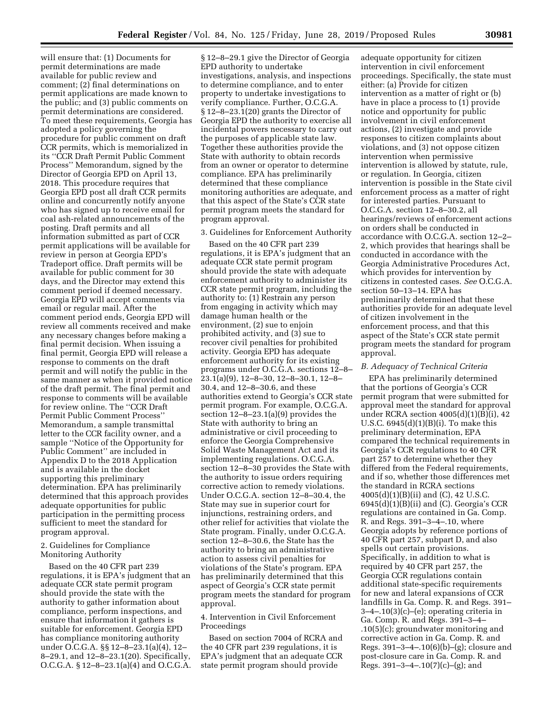will ensure that: (1) Documents for permit determinations are made available for public review and comment; (2) final determinations on permit applications are made known to the public; and (3) public comments on permit determinations are considered. To meet these requirements, Georgia has adopted a policy governing the procedure for public comment on draft CCR permits, which is memorialized in its ''CCR Draft Permit Public Comment Process'' Memorandum, signed by the Director of Georgia EPD on April 13, 2018. This procedure requires that Georgia EPD post all draft CCR permits online and concurrently notify anyone who has signed up to receive email for coal ash-related announcements of the posting. Draft permits and all information submitted as part of CCR permit applications will be available for review in person at Georgia EPD's Tradeport office. Draft permits will be available for public comment for 30 days, and the Director may extend this comment period if deemed necessary. Georgia EPD will accept comments via email or regular mail. After the comment period ends, Georgia EPD will review all comments received and make any necessary changes before making a final permit decision. When issuing a final permit, Georgia EPD will release a response to comments on the draft permit and will notify the public in the same manner as when it provided notice of the draft permit. The final permit and response to comments will be available for review online. The ''CCR Draft Permit Public Comment Process'' Memorandum, a sample transmittal letter to the CCR facility owner, and a sample ''Notice of the Opportunity for Public Comment'' are included in Appendix D to the 2018 Application and is available in the docket supporting this preliminary determination. EPA has preliminarily determined that this approach provides adequate opportunities for public participation in the permitting process sufficient to meet the standard for program approval.

## 2. Guidelines for Compliance Monitoring Authority

Based on the 40 CFR part 239 regulations, it is EPA's judgment that an adequate CCR state permit program should provide the state with the authority to gather information about compliance, perform inspections, and ensure that information it gathers is suitable for enforcement. Georgia EPD has compliance monitoring authority under O.C.G.A. §§ 12–8–23.1(a)(4), 12– 8–29.1, and 12–8–23.1(20). Specifically, O.C.G.A. § 12–8–23.1(a)(4) and O.C.G.A.

§ 12–8–29.1 give the Director of Georgia EPD authority to undertake investigations, analysis, and inspections to determine compliance, and to enter property to undertake investigations to verify compliance. Further, O.C.G.A. § 12–8–23.1(20) grants the Director of Georgia EPD the authority to exercise all incidental powers necessary to carry out the purposes of applicable state law. Together these authorities provide the State with authority to obtain records from an owner or operator to determine compliance. EPA has preliminarily determined that these compliance monitoring authorities are adequate, and that this aspect of the State's CCR state permit program meets the standard for program approval.

#### 3. Guidelines for Enforcement Authority

Based on the 40 CFR part 239 regulations, it is EPA's judgment that an adequate CCR state permit program should provide the state with adequate enforcement authority to administer its CCR state permit program, including the authority to: (1) Restrain any person from engaging in activity which may damage human health or the environment, (2) sue to enjoin prohibited activity, and (3) sue to recover civil penalties for prohibited activity. Georgia EPD has adequate enforcement authority for its existing programs under O.C.G.A. sections 12–8– 23.1(a)(9), 12–8–30, 12–8–30.1, 12–8– 30.4, and 12–8–30.6, and these authorities extend to Georgia's CCR state permit program. For example, O.C.G.A. section 12–8–23.1(a)(9) provides the State with authority to bring an administrative or civil proceeding to enforce the Georgia Comprehensive Solid Waste Management Act and its implementing regulations. O.C.G.A. section 12–8–30 provides the State with the authority to issue orders requiring corrective action to remedy violations. Under O.C.G.A. section 12–8–30.4, the State may sue in superior court for injunctions, restraining orders, and other relief for activities that violate the State program. Finally, under O.C.G.A. section 12–8–30.6, the State has the authority to bring an administrative action to assess civil penalties for violations of the State's program. EPA has preliminarily determined that this aspect of Georgia's CCR state permit program meets the standard for program approval.

# 4. Intervention in Civil Enforcement Proceedings

Based on section 7004 of RCRA and the 40 CFR part 239 regulations, it is EPA's judgment that an adequate CCR state permit program should provide

adequate opportunity for citizen intervention in civil enforcement proceedings. Specifically, the state must either: (a) Provide for citizen intervention as a matter of right or (b) have in place a process to (1) provide notice and opportunity for public involvement in civil enforcement actions, (2) investigate and provide responses to citizen complaints about violations, and (3) not oppose citizen intervention when permissive intervention is allowed by statute, rule, or regulation. In Georgia, citizen intervention is possible in the State civil enforcement process as a matter of right for interested parties. Pursuant to O.C.G.A. section 12–8–30.2, all hearings/reviews of enforcement actions on orders shall be conducted in accordance with O.C.G.A. section 12–2– 2, which provides that hearings shall be conducted in accordance with the Georgia Administrative Procedures Act, which provides for intervention by citizens in contested cases. *See* O.C.G.A. section 50–13–14. EPA has preliminarily determined that these authorities provide for an adequate level of citizen involvement in the enforcement process, and that this aspect of the State's CCR state permit program meets the standard for program approval.

#### *B. Adequacy of Technical Criteria*

EPA has preliminarily determined that the portions of Georgia's CCR permit program that were submitted for approval meet the standard for approval under RCRA section 4005(d)(1)(B)(i), 42 U.S.C. 6945(d)(1)(B)(i). To make this preliminary determination, EPA compared the technical requirements in Georgia's CCR regulations to 40 CFR part 257 to determine whether they differed from the Federal requirements, and if so, whether those differences met the standard in RCRA sections 4005(d)(1)(B)(ii) and (C), 42 U.S.C.  $6945(d)(1)(B)(ii)$  and  $(C)$ . Georgia's CCR regulations are contained in Ga. Comp. R. and Regs. 391–3–4–.10, where Georgia adopts by reference portions of 40 CFR part 257, subpart D, and also spells out certain provisions. Specifically, in addition to what is required by 40 CFR part 257, the Georgia CCR regulations contain additional state-specific requirements for new and lateral expansions of CCR landfills in Ga. Comp. R. and Regs. 391– 3–4–.10(3)(c)–(e); operating criteria in Ga. Comp. R. and Regs. 391–3–4– .10(5)(c); groundwater monitoring and corrective action in Ga. Comp. R. and Regs. 391–3–4–.10(6)(b)–(g); closure and post-closure care in Ga. Comp. R. and Regs.  $391-3-4-.10(7)(c)-(g)$ ; and